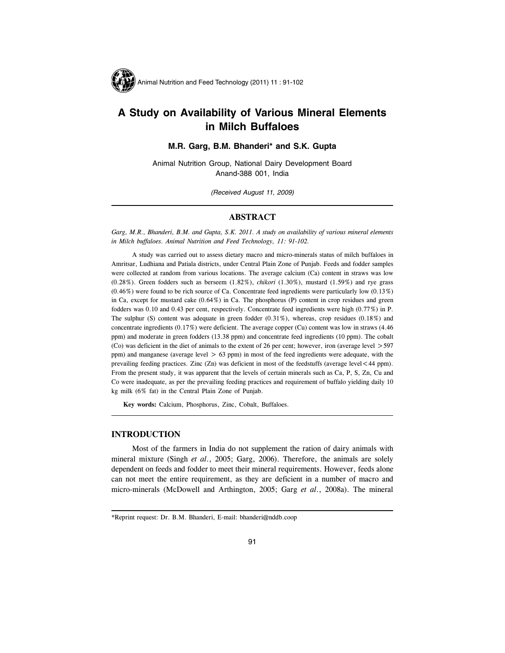

# A Study on Availability of Various Mineral Elements in Milch Buffaloes

# M.R. Garg, B.M. Bhanderi\* and S.K. Gupta

Animal Nutrition Group, National Dairy Development Board Anand-388 001, India

(Received August 11, 2009)

# ABSTRACT

Garg, M.R., Bhanderi, B.M. and Gupta, S.K. 2011. A study on availability of various mineral elements in Milch buffaloes. Animal Nutrition and Feed Technology, 11: 91-102.

A study was carried out to assess dietary macro and micro-minerals status of milch buffaloes in Amritsar, Ludhiana and Patiala districts, under Central Plain Zone of Punjab. Feeds and fodder samples were collected at random from various locations. The average calcium (Ca) content in straws was low  $(0.28\%)$ . Green fodders such as berseem  $(1.82\%)$ , *chikori*  $(1.30\%)$ , mustard  $(1.59\%)$  and rye grass (0.46%) were found to be rich source of Ca. Concentrate feed ingredients were particularly low (0.13%) in Ca, except for mustard cake (0.64%) in Ca. The phosphorus (P) content in crop residues and green fodders was 0.10 and 0.43 per cent, respectively. Concentrate feed ingredients were high (0.77%) in P. The sulphur (S) content was adequate in green fodder (0.31%), whereas, crop residues (0.18%) and concentrate ingredients (0.17%) were deficient. The average copper (Cu) content was low in straws (4.46 ppm) and moderate in green fodders (13.38 ppm) and concentrate feed ingredients (10 ppm). The cobalt (Co) was deficient in the diet of animals to the extent of 26 per cent; however, iron (average level  $>$  597 ppm) and manganese (average level  $> 63$  ppm) in most of the feed ingredients were adequate, with the prevailing feeding practices. Zinc (Zn) was deficient in most of the feedstuffs (average level<44 ppm). From the present study, it was apparent that the levels of certain minerals such as Ca, P, S, Zn, Cu and Co were inadequate, as per the prevailing feeding practices and requirement of buffalo yielding daily 10 kg milk (6% fat) in the Central Plain Zone of Punjab.

Key words: Calcium, Phosphorus, Zinc, Cobalt, Buffaloes.

# INTRODUCTION

Most of the farmers in India do not supplement the ration of dairy animals with mineral mixture (Singh et al., 2005; Garg, 2006). Therefore, the animals are solely dependent on feeds and fodder to meet their mineral requirements. However, feeds alone can not meet the entire requirement, as they are deficient in a number of macro and micro-minerals (McDowell and Arthington, 2005; Garg et al., 2008a). The mineral

<sup>\*</sup>Reprint request: Dr. B.M. Bhanderi, E-mail: bhanderi@nddb.coop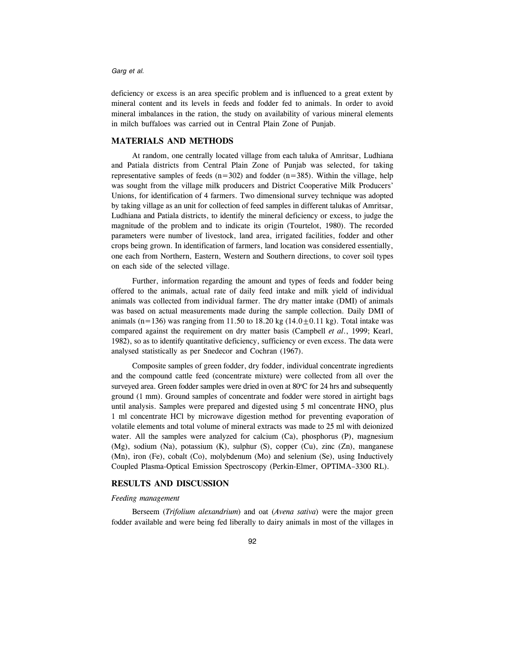deficiency or excess is an area specific problem and is influenced to a great extent by mineral content and its levels in feeds and fodder fed to animals. In order to avoid mineral imbalances in the ration, the study on availability of various mineral elements in milch buffaloes was carried out in Central Plain Zone of Punjab.

## MATERIALS AND METHODS

At random, one centrally located village from each taluka of Amritsar, Ludhiana and Patiala districts from Central Plain Zone of Punjab was selected, for taking representative samples of feeds  $(n=302)$  and fodder  $(n=385)$ . Within the village, help was sought from the village milk producers and District Cooperative Milk Producers' Unions, for identification of 4 farmers. Two dimensional survey technique was adopted by taking village as an unit for collection of feed samples in different talukas of Amritsar, Ludhiana and Patiala districts, to identify the mineral deficiency or excess, to judge the magnitude of the problem and to indicate its origin (Tourtelot, 1980). The recorded parameters were number of livestock, land area, irrigated facilities, fodder and other crops being grown. In identification of farmers, land location was considered essentially, one each from Northern, Eastern, Western and Southern directions, to cover soil types on each side of the selected village.

Further, information regarding the amount and types of feeds and fodder being offered to the animals, actual rate of daily feed intake and milk yield of individual animals was collected from individual farmer. The dry matter intake (DMI) of animals was based on actual measurements made during the sample collection. Daily DMI of animals (n=136) was ranging from 11.50 to 18.20 kg (14.0 $\pm$ 0.11 kg). Total intake was compared against the requirement on dry matter basis (Campbell et al., 1999; Kearl, 1982), so as to identify quantitative deficiency, sufficiency or even excess. The data were analysed statistically as per Snedecor and Cochran (1967).

Composite samples of green fodder, dry fodder, individual concentrate ingredients and the compound cattle feed (concentrate mixture) were collected from all over the surveyed area. Green fodder samples were dried in oven at  $80^{\circ}$ C for 24 hrs and subsequently ground (1 mm). Ground samples of concentrate and fodder were stored in airtight bags until analysis. Samples were prepared and digested using  $5$  ml concentrate  $HNO<sub>3</sub>$  plus 1 ml concentrate HCl by microwave digestion method for preventing evaporation of volatile elements and total volume of mineral extracts was made to 25 ml with deionized water. All the samples were analyzed for calcium (Ca), phosphorus (P), magnesium (Mg), sodium (Na), potassium (K), sulphur (S), copper (Cu), zinc (Zn), manganese (Mn), iron (Fe), cobalt (Co), molybdenum (Mo) and selenium (Se), using Inductively Coupled Plasma-Optical Emission Spectroscopy (Perkin-Elmer, OPTIMA–3300 RL).

## RESULTS AND DISCUSSION

## Feeding management

Berseem (Trifolium alexandrium) and oat (Avena sativa) were the major green fodder available and were being fed liberally to dairy animals in most of the villages in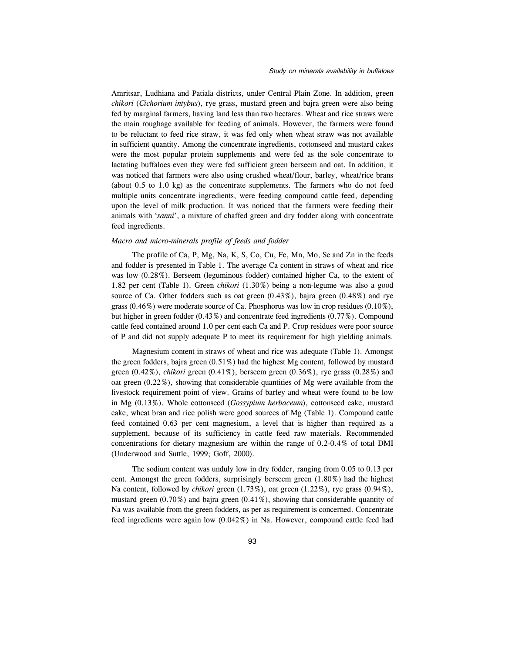Amritsar, Ludhiana and Patiala districts, under Central Plain Zone. In addition, green chikori (Cichorium intybus), rye grass, mustard green and bajra green were also being fed by marginal farmers, having land less than two hectares. Wheat and rice straws were the main roughage available for feeding of animals. However, the farmers were found to be reluctant to feed rice straw, it was fed only when wheat straw was not available in sufficient quantity. Among the concentrate ingredients, cottonseed and mustard cakes were the most popular protein supplements and were fed as the sole concentrate to lactating buffaloes even they were fed sufficient green berseem and oat. In addition, it was noticed that farmers were also using crushed wheat/flour, barley, wheat/rice brans (about 0.5 to 1.0 kg) as the concentrate supplements. The farmers who do not feed multiple units concentrate ingredients, were feeding compound cattle feed, depending upon the level of milk production. It was noticed that the farmers were feeding their animals with 'sanni', a mixture of chaffed green and dry fodder along with concentrate feed ingredients.

## Macro and micro-minerals profile of feeds and fodder

The profile of Ca, P, Mg, Na, K, S, Co, Cu, Fe, Mn, Mo, Se and Zn in the feeds and fodder is presented in Table 1. The average Ca content in straws of wheat and rice was low (0.28%). Berseem (leguminous fodder) contained higher Ca, to the extent of 1.82 per cent (Table 1). Green chikori (1.30%) being a non-legume was also a good source of Ca. Other fodders such as oat green  $(0.43\%)$ , bajra green  $(0.48\%)$  and rye grass (0.46%) were moderate source of Ca. Phosphorus was low in crop residues (0.10%), but higher in green fodder (0.43%) and concentrate feed ingredients (0.77%). Compound cattle feed contained around 1.0 per cent each Ca and P. Crop residues were poor source of P and did not supply adequate P to meet its requirement for high yielding animals.

Magnesium content in straws of wheat and rice was adequate (Table 1). Amongst the green fodders, bajra green (0.51%) had the highest Mg content, followed by mustard green  $(0.42\%)$ , *chikori* green  $(0.41\%)$ , berseem green  $(0.36\%)$ , rye grass  $(0.28\%)$  and oat green (0.22%), showing that considerable quantities of Mg were available from the livestock requirement point of view. Grains of barley and wheat were found to be low in Mg (0.13%). Whole cottonseed (Gossypium herbaceum), cottonseed cake, mustard cake, wheat bran and rice polish were good sources of Mg (Table 1). Compound cattle feed contained 0.63 per cent magnesium, a level that is higher than required as a supplement, because of its sufficiency in cattle feed raw materials. Recommended concentrations for dietary magnesium are within the range of 0.2-0.4% of total DMI (Underwood and Suttle, 1999; Goff, 2000).

The sodium content was unduly low in dry fodder, ranging from 0.05 to 0.13 per cent. Amongst the green fodders, surprisingly berseem green (1.80%) had the highest Na content, followed by chikori green (1.73%), oat green (1.22%), rye grass (0.94%), mustard green (0.70%) and bajra green (0.41%), showing that considerable quantity of Na was available from the green fodders, as per as requirement is concerned. Concentrate feed ingredients were again low (0.042%) in Na. However, compound cattle feed had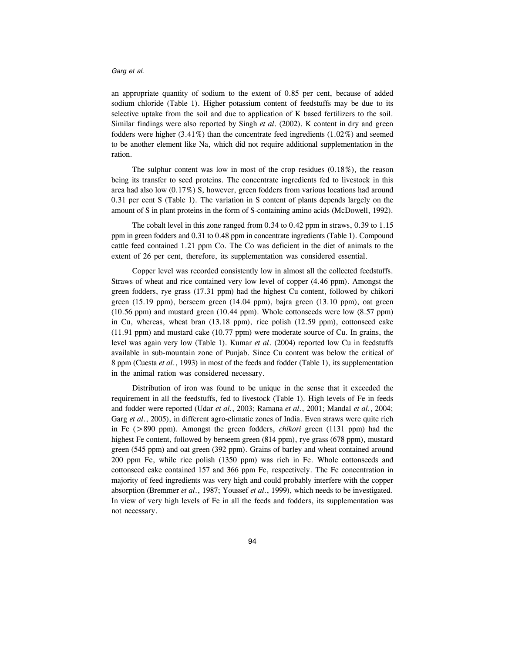an appropriate quantity of sodium to the extent of 0.85 per cent, because of added sodium chloride (Table 1). Higher potassium content of feedstuffs may be due to its selective uptake from the soil and due to application of K based fertilizers to the soil. Similar findings were also reported by Singh et al. (2002). K content in dry and green fodders were higher (3.41%) than the concentrate feed ingredients (1.02%) and seemed to be another element like Na, which did not require additional supplementation in the ration.

The sulphur content was low in most of the crop residues  $(0.18\%)$ , the reason being its transfer to seed proteins. The concentrate ingredients fed to livestock in this area had also low (0.17%) S, however, green fodders from various locations had around 0.31 per cent S (Table 1). The variation in S content of plants depends largely on the amount of S in plant proteins in the form of S-containing amino acids (McDowell, 1992).

The cobalt level in this zone ranged from 0.34 to 0.42 ppm in straws, 0.39 to 1.15 ppm in green fodders and 0.31 to 0.48 ppm in concentrate ingredients (Table 1). Compound cattle feed contained 1.21 ppm Co. The Co was deficient in the diet of animals to the extent of 26 per cent, therefore, its supplementation was considered essential.

Copper level was recorded consistently low in almost all the collected feedstuffs. Straws of wheat and rice contained very low level of copper (4.46 ppm). Amongst the green fodders, rye grass (17.31 ppm) had the highest Cu content, followed by chikori green (15.19 ppm), berseem green (14.04 ppm), bajra green (13.10 ppm), oat green (10.56 ppm) and mustard green (10.44 ppm). Whole cottonseeds were low (8.57 ppm) in Cu, whereas, wheat bran (13.18 ppm), rice polish (12.59 ppm), cottonseed cake (11.91 ppm) and mustard cake (10.77 ppm) were moderate source of Cu. In grains, the level was again very low (Table 1). Kumar et al. (2004) reported low Cu in feedstuffs available in sub-mountain zone of Punjab. Since Cu content was below the critical of 8 ppm (Cuesta et al., 1993) in most of the feeds and fodder (Table 1), its supplementation in the animal ration was considered necessary.

Distribution of iron was found to be unique in the sense that it exceeded the requirement in all the feedstuffs, fed to livestock (Table 1). High levels of Fe in feeds and fodder were reported (Udar et al., 2003; Ramana et al., 2001; Mandal et al., 2004; Garg et al., 2005), in different agro-climatic zones of India. Even straws were quite rich in Fe (>890 ppm). Amongst the green fodders, chikori green (1131 ppm) had the highest Fe content, followed by berseem green (814 ppm), rye grass (678 ppm), mustard green (545 ppm) and oat green (392 ppm). Grains of barley and wheat contained around 200 ppm Fe, while rice polish (1350 ppm) was rich in Fe. Whole cottonseeds and cottonseed cake contained 157 and 366 ppm Fe, respectively. The Fe concentration in majority of feed ingredients was very high and could probably interfere with the copper absorption (Bremmer et al., 1987; Youssef et al., 1999), which needs to be investigated. In view of very high levels of Fe in all the feeds and fodders, its supplementation was not necessary.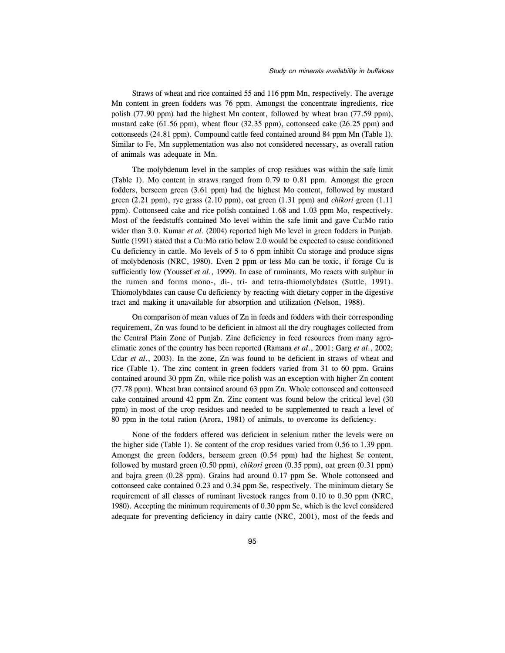Straws of wheat and rice contained 55 and 116 ppm Mn, respectively. The average Mn content in green fodders was 76 ppm. Amongst the concentrate ingredients, rice polish (77.90 ppm) had the highest Mn content, followed by wheat bran (77.59 ppm), mustard cake (61.56 ppm), wheat flour (32.35 ppm), cottonseed cake (26.25 ppm) and cottonseeds (24.81 ppm). Compound cattle feed contained around 84 ppm Mn (Table 1). Similar to Fe, Mn supplementation was also not considered necessary, as overall ration of animals was adequate in Mn.

The molybdenum level in the samples of crop residues was within the safe limit (Table 1). Mo content in straws ranged from 0.79 to 0.81 ppm. Amongst the green fodders, berseem green (3.61 ppm) had the highest Mo content, followed by mustard green (2.21 ppm), rye grass (2.10 ppm), oat green (1.31 ppm) and chikori green (1.11 ppm). Cottonseed cake and rice polish contained 1.68 and 1.03 ppm Mo, respectively. Most of the feedstuffs contained Mo level within the safe limit and gave Cu:Mo ratio wider than 3.0. Kumar et al. (2004) reported high Mo level in green fodders in Punjab. Suttle (1991) stated that a Cu:Mo ratio below 2.0 would be expected to cause conditioned Cu deficiency in cattle. Mo levels of 5 to 6 ppm inhibit Cu storage and produce signs of molybdenosis (NRC, 1980). Even 2 ppm or less Mo can be toxic, if forage Cu is sufficiently low (Youssef et al., 1999). In case of ruminants, Mo reacts with sulphur in the rumen and forms mono-, di-, tri- and tetra-thiomolybdates (Suttle, 1991). Thiomolybdates can cause Cu deficiency by reacting with dietary copper in the digestive tract and making it unavailable for absorption and utilization (Nelson, 1988).

On comparison of mean values of Zn in feeds and fodders with their corresponding requirement, Zn was found to be deficient in almost all the dry roughages collected from the Central Plain Zone of Punjab. Zinc deficiency in feed resources from many agroclimatic zones of the country has been reported (Ramana *et al.*, 2001; Garg *et al.*, 2002; Udar et al., 2003). In the zone, Zn was found to be deficient in straws of wheat and rice (Table 1). The zinc content in green fodders varied from 31 to 60 ppm. Grains contained around 30 ppm Zn, while rice polish was an exception with higher Zn content (77.78 ppm). Wheat bran contained around 63 ppm Zn. Whole cottonseed and cottonseed cake contained around 42 ppm Zn. Zinc content was found below the critical level (30 ppm) in most of the crop residues and needed to be supplemented to reach a level of 80 ppm in the total ration (Arora, 1981) of animals, to overcome its deficiency.

None of the fodders offered was deficient in selenium rather the levels were on the higher side (Table 1). Se content of the crop residues varied from 0.56 to 1.39 ppm. Amongst the green fodders, berseem green (0.54 ppm) had the highest Se content, followed by mustard green (0.50 ppm), chikori green (0.35 ppm), oat green (0.31 ppm) and bajra green (0.28 ppm). Grains had around 0.17 ppm Se. Whole cottonseed and cottonseed cake contained 0.23 and 0.34 ppm Se, respectively. The minimum dietary Se requirement of all classes of ruminant livestock ranges from 0.10 to 0.30 ppm (NRC, 1980). Accepting the minimum requirements of 0.30 ppm Se, which is the level considered adequate for preventing deficiency in dairy cattle (NRC, 2001), most of the feeds and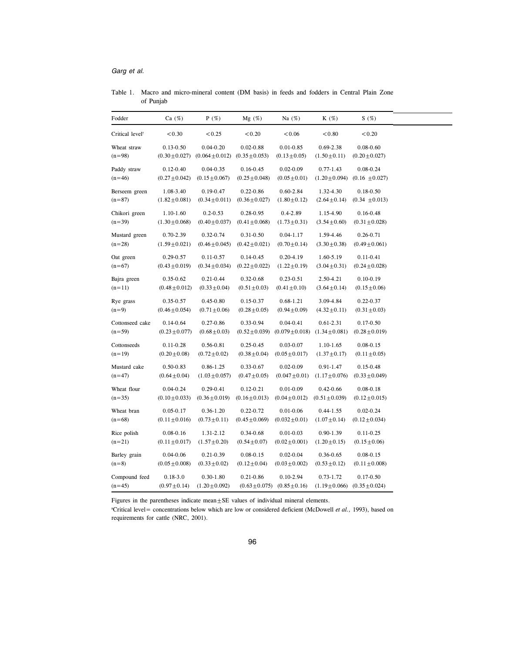# Table 1. Macro and micro-mineral content (DM basis) in feeds and fodders in Central Plain Zone of Punjab

| Fodder                      | Ca $(\%)$          | $P(\%)$                                                   | $Mg(\%)$           | Na $(%)$                             | $K(\%)$            | S(%)                                  |
|-----------------------------|--------------------|-----------------------------------------------------------|--------------------|--------------------------------------|--------------------|---------------------------------------|
| Critical level <sup>†</sup> | < 0.30             | < 0.25                                                    | < 0.20             | < 0.06                               | < 0.80             | < 0.20                                |
| Wheat straw                 | $0.13 - 0.50$      | $0.04 - 0.20$                                             | $0.02 - 0.88$      | $0.01 - 0.85$                        | $0.69 - 2.38$      | $0.08 - 0.60$                         |
| $(n=98)$                    |                    | $(0.30 \pm 0.027)$ $(0.064 \pm 0.012)$ $(0.35 \pm 0.053)$ |                    | $(0.13 \pm 0.05)$                    | $(1.50 \pm 0.11)$  | $(0.20 \pm 0.027)$                    |
| Paddy straw                 | $0.12 - 0.40$      | $0.04 - 0.35$                                             | $0.16 - 0.45$      | $0.02 - 0.09$                        | $0.77 - 1.43$      | $0.08 - 0.24$                         |
| $(n=46)$                    | $(0.27 \pm 0.042)$ | $(0.15 \pm 0.067)$                                        | $(0.25 \pm 0.048)$ | $(0.05 \pm 0.01)$                    | $(1.20 \pm 0.094)$ | $(0.16 \pm 0.027)$                    |
| Berseem green               | 1.08-3.40          | $0.19 - 0.47$                                             | $0.22 - 0.86$      | $0.60 - 2.84$                        | 1.32-4.30          | $0.18 - 0.50$                         |
| $(n=87)$                    | $(1.82 \pm 0.081)$ | $(0.34 \pm 0.011)$                                        | $(0.36 \pm 0.027)$ | $(1.80 \pm 0.12)$                    | $(2.64 \pm 0.14)$  | $(0.34 \pm 0.013)$                    |
| Chikori green               | $1.10 - 1.60$      | $0.2 - 0.53$                                              | $0.28 - 0.95$      | $0.4 - 2.89$                         | 1.15-4.90          | $0.16 - 0.48$                         |
| $(n=39)$                    | $(1.30 \pm 0.068)$ | $(0.40 \pm 0.037)$                                        | $(0.41 \pm 0.068)$ | $(1.73 \pm 0.31)$                    | $(3.54 \pm 0.60)$  | $(0.31 \pm 0.028)$                    |
| Mustard green               | $0.70 - 2.39$      | $0.32 - 0.74$                                             | $0.31 - 0.50$      | $0.04 - 1.17$                        | 1.59-4.46          | 0.26-0.71                             |
| $(n=28)$                    | $(1.59 \pm 0.021)$ | $(0.46 \pm 0.045)$                                        | $(0.42 \pm 0.021)$ | $(0.70 \pm 0.14)$                    | $(3.30 \pm 0.38)$  | $(0.49 \pm 0.061)$                    |
| Oat green                   | $0.29 - 0.57$      | $0.11 - 0.57$                                             | $0.14 - 0.45$      | $0.20 - 4.19$                        | 1.60-5.19          | $0.11 - 0.41$                         |
| $(n=67)$                    | $(0.43 \pm 0.019)$ | $(0.34 \pm 0.034)$                                        | $(0.22 \pm 0.022)$ | $(1.22 \pm 0.19)$                    | $(3.04 \pm 0.31)$  | $(0.24 \pm 0.028)$                    |
| Bajra green                 | $0.35 - 0.62$      | $0.21 - 0.44$                                             | $0.32 - 0.68$      | $0.23 - 0.51$                        | 2.50-4.21          | $0.10 - 0.19$                         |
| $(n=11)$                    | $(0.48 \pm 0.012)$ | $(0.33 \pm 0.04)$                                         | $(0.51 \pm 0.03)$  | $(0.41 \pm 0.10)$                    | $(3.64 \pm 0.14)$  | $(0.15 \pm 0.06)$                     |
| Rye grass                   | 0.35-0.57          | $0.45 - 0.80$                                             | $0.15 - 0.37$      | $0.68 - 1.21$                        | 3.09-4.84          | $0.22 - 0.37$                         |
| $(n=9)$                     | $(0.46 \pm 0.054)$ | $(0.71 \pm 0.06)$                                         | $(0.28 \pm 0.05)$  | $(0.94 \pm 0.09)$                    | $(4.32 \pm 0.11)$  | $(0.31 \pm 0.03)$                     |
| Cottonseed cake             | $0.14 - 0.64$      | $0.27 - 0.86$                                             | 0.33-0.94          | $0.04 - 0.41$                        | $0.61 - 2.31$      | $0.17 - 0.50$                         |
| $(n=59)$                    | $(0.23 \pm 0.077)$ | $(0.68 \pm 0.03)$                                         | $(0.52 \pm 0.039)$ | $(0.079 \pm 0.018)$                  | $(1.34 \pm 0.081)$ | $(0.28 \pm 0.019)$                    |
| Cottonseeds                 | $0.11 - 0.28$      | 0.56-0.81                                                 | $0.25 - 0.45$      | $0.03 - 0.07$                        | 1.10-1.65          | $0.08 - 0.15$                         |
| $(n=19)$                    | $(0.20 \pm 0.08)$  | $(0.72 \pm 0.02)$                                         | $(0.38 \pm 0.04)$  | $(0.05 \pm 0.017)$                   | $(1.37 \pm 0.17)$  | $(0.11 \pm 0.05)$                     |
| Mustard cake                | $0.50 - 0.83$      | 0.86-1.25                                                 | $0.33 - 0.67$      | $0.02 - 0.09$                        | 0.91-1.47          | $0.15 - 0.48$                         |
| $(n=47)$                    | $(0.64 \pm 0.04)$  | $(1.03 \pm 0.057)$                                        | $(0.47 \pm 0.05)$  | $(0.047 \pm 0.01)$                   | $(1.17 \pm 0.076)$ | $(0.33 \pm 0.049)$                    |
| Wheat flour                 | $0.04 - 0.24$      | $0.29 - 0.41$                                             | $0.12 - 0.21$      | $0.01 - 0.09$                        | $0.42 - 0.66$      | $0.08 - 0.18$                         |
| $(n=35)$                    | $(0.10 \pm 0.033)$ | $(0.36 \pm 0.019)$                                        | $(0.16 \pm 0.013)$ | $(0.04 \pm 0.012)$                   | $(0.51 \pm 0.039)$ | $(0.12 \pm 0.015)$                    |
| Wheat bran                  | $0.05 - 0.17$      | $0.36 - 1.20$                                             | $0.22 - 0.72$      | $0.01 - 0.06$                        | $0.44 - 1.55$      | $0.02 - 0.24$                         |
| $(n=68)$                    | $(0.11 \pm 0.016)$ | $(0.73 \pm 0.11)$                                         | $(0.45 \pm 0.069)$ | $(0.032 \pm 0.01)$                   | $(1.07 \pm 0.14)$  | $(0.12 \pm 0.034)$                    |
| Rice polish                 | $0.08 - 0.16$      | 1.31-2.12                                                 | $0.34 - 0.68$      | $0.01 - 0.03$                        | $0.90 - 1.39$      | $0.11 - 0.25$                         |
| $(n=21)$                    | $(0.11 \pm 0.017)$ | $(1.57 \pm 0.20)$                                         | $(0.54 \pm 0.07)$  | $(0.02 \pm 0.001)$                   | $(1.20 \pm 0.15)$  | $(0.15 \pm 0.06)$                     |
| Barley grain                | $0.04 - 0.06$      | $0.21 - 0.39$                                             | $0.08 - 0.15$      | $0.02 - 0.04$                        | 0.36-0.65          | $0.08 - 0.15$                         |
| $(n=8)$                     | $(0.05 \pm 0.008)$ | $(0.33 \pm 0.02)$                                         | $(0.12 \pm 0.04)$  | $(0.03 \pm 0.002)$                   | $(0.53 \pm 0.12)$  | $(0.11 \pm 0.008)$                    |
| Compound feed               | $0.18 - 3.0$       | $0.30 - 1.80$                                             | $0.21 - 0.86$      | $0.10 - 2.94$                        | $0.73 - 1.72$      | $0.17 - 0.50$                         |
| $(n=45)$                    | $(0.97 \pm 0.14)$  | $(1.20 \pm 0.092)$                                        |                    | $(0.63 \pm 0.075)$ $(0.85 \pm 0.16)$ |                    | $(1.19 \pm 0.066)$ $(0.35 \pm 0.024)$ |

Figures in the parentheses indicate mean $\pm$ SE values of individual mineral elements.

aCritical level= concentrations below which are low or considered deficient (McDowell et al., 1993), based on requirements for cattle (NRC, 2001).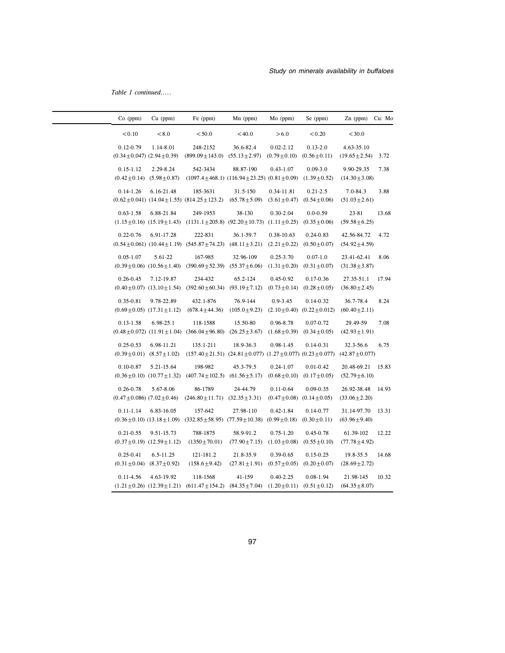Table 1 continued.....

| $Co$ (ppm)                                            | $Cu$ (ppm)                                         | Fe (ppm)                                                                                                                     | $Mn$ (ppm)                      | Mo (ppm)                                             | Se (ppm)                                              | $Zn$ (ppm)                        | Cu: Mo |
|-------------------------------------------------------|----------------------------------------------------|------------------------------------------------------------------------------------------------------------------------------|---------------------------------|------------------------------------------------------|-------------------------------------------------------|-----------------------------------|--------|
| < 0.10                                                | < 8.0                                              | < 50.0                                                                                                                       | < 40.0                          | > 6.0                                                | < 0.20                                                | < 30.0                            |        |
| $0.12 - 0.79$<br>$(0.34 \pm 0.047)$ $(2.94 \pm 0.39)$ | 1.14-8.01                                          | 248-2152<br>$(899.09 \pm 143.0)$ $(55.13 \pm 2.97)$                                                                          | 36.6-82.4                       | $0.02 - 2.12$<br>$(0.79 \pm 0.10)$ $(0.56 \pm 0.11)$ | $0.13 - 2.0$                                          | 4.63-35.10<br>$(19.65 \pm 2.54)$  | 3.72   |
| $0.15 - 1.12$                                         | 2.29-8.24<br>$(0.42 \pm 0.14)$ $(5.98 \pm 0.87)$   | 542-3434<br>$(1097.4 \pm 468.1)$ $(116.94 \pm 23.25)$ $(0.81 \pm 0.09)$                                                      | 88.87-190                       | $0.43 - 1.07$                                        | $0.09 - 3.0$<br>$(1.39 \pm 0.52)$                     | 9.90-29.35<br>$(14.30 \pm 3.08)$  | 7.38   |
| $0.14 - 1.26$                                         | 6.16-21.48                                         | 185-3631<br>$(0.62 \pm 0.041)$ $(14.04 \pm 1.55)$ $(814.25 \pm 123.2)$                                                       | 31.5-150<br>$(65.78 \pm 5.09)$  | 0.34-11.81<br>$(3.61 \pm 0.47)$                      | $0.21 - 2.5$<br>$(0.54 \pm 0.06)$                     | 7.0-84.3<br>$(51.03 \pm 2.61)$    | 3.88   |
| $0.63 - 1.58$                                         | 6.88-21.84                                         | 249-1953<br>$(1.15 \pm 0.16)$ $(15.19 \pm 1.43)$ $(1131.1 \pm 205.8)$ $(92.20 \pm 10.73)$ $(1.11 \pm 0.25)$                  | 38-130                          | $0.30 - 2.04$                                        | $0.0 - 0.59$<br>$(0.35 \pm 0.06)$                     | 23-81<br>$(59.58 \pm 6.25)$       | 13.68  |
| $0.22 - 0.76$                                         | 6.91-17.28                                         | 222-831<br>$(0.54 \pm 0.061)$ $(10.44 \pm 1.19)$ $(545.87 \pm 74.23)$ $(48.11 \pm 3.21)$                                     | 36.1-59.7                       | 0.38-10.63<br>$(2.21 \pm 0.22)$                      | $0.24 - 0.83$<br>$(0.50 \pm 0.07)$                    | 42.56-84.72<br>$(54.92 \pm 4.59)$ | 4.72   |
| $0.05 - 1.07$                                         | 5.61-22                                            | 167-985<br>$(0.39 \pm 0.06)$ $(10.56 \pm 1.40)$ $(390.69 \pm 52.39)$ $(55.37 \pm 6.06)$                                      | 32.96-109                       | $0.25 - 3.70$<br>$(1.31 \pm 0.20)$                   | $0.07 - 1.0$<br>$(0.31 \pm 0.07)$                     | 23.41-62.41<br>$(31.38 \pm 3.87)$ | 8.06   |
| $0.26 - 0.45$                                         | 7.12-19.87<br>$(0.40 \pm 0.07)$ $(13.10 \pm 1.54)$ | 234-432<br>$(392.60 \pm 60.34)$ $(93.19 \pm 7.12)$                                                                           | 65.2-124                        | $0.45 - 0.92$<br>$(0.73 \pm 0.14)$                   | $0.17 - 0.36$<br>$(0.28 \pm 0.05)$                    | 27.35-51.1<br>$(36.80 \pm 2.45)$  | 17.94  |
| $0.35 - 0.81$                                         | 9.78-22.89<br>$(0.69 \pm 0.05)$ $(17.31 \pm 1.12)$ | 432.1-876<br>$(678.4 \pm 44.36)$                                                                                             | 76.9-144<br>$(105.0 \pm 9.23)$  | $0.9 - 3.45$                                         | $0.14 - 0.32$<br>$(2.10 \pm 0.40)$ $(0.22 \pm 0.012)$ | 36.7-78.4<br>$(60.40 \pm 2.11)$   | 8.24   |
| $0.13 - 1.58$                                         | 6.98-25.1                                          | 118-1588<br>$(0.48 \pm 0.072)$ $(11.91 \pm 1.04)$ $(366.04 \pm 96.80)$ $(26.25 \pm 3.67)$                                    | 15.50-80                        | 0.96-8.78<br>$(1.68 \pm 0.39)$                       | $0.07 - 0.72$<br>$(0.34 \pm 0.05)$                    | 29.49-59<br>$(42.93 \pm 1.91)$    | 7.08   |
| $0.25 - 0.53$                                         | 6.98-11.21<br>$(0.39 \pm 0.01)$ $(8.57 \pm 1.02)$  | 135.1-211<br>$(157.40 \pm 21.51)$ $(24.81 \pm 0.077)$ $(1.27 \pm 0.077)$ $(0.23 \pm 0.077)$ $(42.87 \pm 0.077)$              | 18.9-36.3                       | 0.98-1.45                                            | $0.14 - 0.31$                                         | 32.3-56.6                         | 6.75   |
| $0.10 - 0.87$                                         | 5.21-15.64                                         | 198-982<br>$(0.36 \pm 0.10)$ $(10.77 \pm 1.32)$ $(407.74 \pm 102.5)$ $(61.56 \pm 5.17)$                                      | 45.3-79.5                       | $0.24 - 1.07$<br>$(0.68 \pm 0.10)$                   | $0.01 - 0.42$<br>$(0.17 \pm 0.05)$                    | 20.48-69.21<br>$(52.79 \pm 6.10)$ | 15.83  |
| $0.26 - 0.78$<br>$(0.47 \pm 0.086)$ $(7.02 \pm 0.46)$ | 5.67-8.06                                          | 86-1789<br>$(246.80 \pm 11.71)$ $(32.35 \pm 3.31)$                                                                           | 24-44.79                        | $0.11 - 0.64$                                        | $0.09 - 0.35$<br>$(0.47 \pm 0.08)$ $(0.14 \pm 0.05)$  | 26.92-38.48<br>$(33.06 \pm 2.20)$ | 14.93  |
| $0.11 - 1.14$                                         | 6.83-16.05                                         | 157-642<br>$(0.36 \pm 0.10)$ $(13.18 \pm 1.09)$ $(332.85 \pm 58.95)$ $(77.59 \pm 10.38)$ $(0.99 \pm 0.18)$ $(0.30 \pm 0.11)$ | 27.98-110                       | $0.42 - 1.84$                                        | $0.14 - 0.77$                                         | 31.14-97.70<br>$(63.96 \pm 9.40)$ | 13.31  |
| $0.21 - 0.55$                                         | 9.51-15.73<br>$(0.37 \pm 0.19)$ $(12.59 \pm 1.12)$ | 788-1875<br>$(1350 \pm 70.01)$                                                                                               | 58.9-91.2<br>$(77.90 \pm 7.15)$ | $0.75 - 1.20$<br>$(1.03 \pm 0.08)$                   | $0.45 - 0.78$<br>$(0.55 \pm 0.10)$                    | 61.39-102<br>$(77.78 \pm 4.92)$   | 12.22  |
| $0.25 - 0.41$                                         | 6.5-11.25<br>$(0.31 \pm 0.04)$ $(8.37 \pm 0.92)$   | 121-181.2<br>$(158.6 \pm 9.42)$                                                                                              | 21.8-35.9<br>$(27.81 \pm 1.91)$ | $0.39 - 0.65$<br>$(0.57 \pm 0.05)$                   | $0.15 - 0.25$<br>$(0.20 \pm 0.07)$                    | 19.8-35.5<br>$(28.69 \pm 2.72)$   | 14.68  |
| $0.11 - 4.56$                                         | 4.63-19.92                                         | 118-1568<br>$(1.21 \pm 0.26)$ $(12.39 \pm 1.21)$ $(611.47 \pm 154.2)$ $(84.35 \pm 7.04)$                                     | 41-159                          | $0.40 - 2.25$<br>$(1.20 \pm 0.11)$                   | $0.08 - 1.94$<br>$(0.51 \pm 0.12)$                    | 21.98-145<br>$(64.35 \pm 8.07)$   | 10.32  |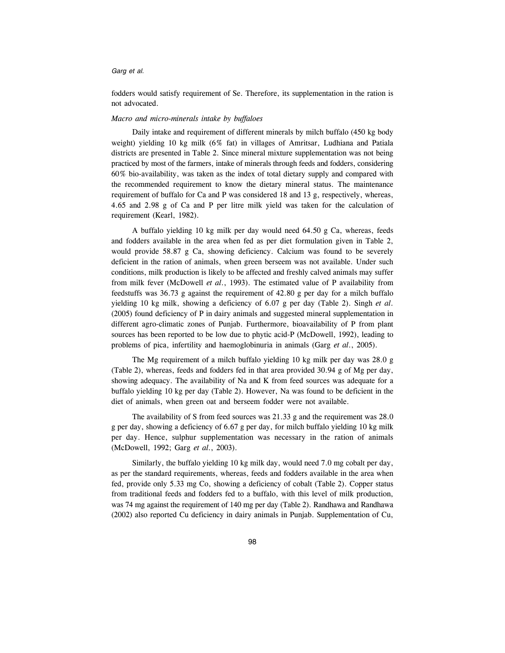fodders would satisfy requirement of Se. Therefore, its supplementation in the ration is not advocated.

## Macro and micro-minerals intake by buffaloes

Daily intake and requirement of different minerals by milch buffalo (450 kg body weight) yielding 10 kg milk (6% fat) in villages of Amritsar, Ludhiana and Patiala districts are presented in Table 2. Since mineral mixture supplementation was not being practiced by most of the farmers, intake of minerals through feeds and fodders, considering 60% bio-availability, was taken as the index of total dietary supply and compared with the recommended requirement to know the dietary mineral status. The maintenance requirement of buffalo for Ca and P was considered 18 and 13 g, respectively, whereas, 4.65 and 2.98 g of Ca and P per litre milk yield was taken for the calculation of requirement (Kearl, 1982).

A buffalo yielding 10 kg milk per day would need 64.50 g Ca, whereas, feeds and fodders available in the area when fed as per diet formulation given in Table 2, would provide 58.87 g Ca, showing deficiency. Calcium was found to be severely deficient in the ration of animals, when green berseem was not available. Under such conditions, milk production is likely to be affected and freshly calved animals may suffer from milk fever (McDowell et al., 1993). The estimated value of P availability from feedstuffs was 36.73 g against the requirement of 42.80 g per day for a milch buffalo yielding 10 kg milk, showing a deficiency of 6.07 g per day (Table 2). Singh et al. (2005) found deficiency of P in dairy animals and suggested mineral supplementation in different agro-climatic zones of Punjab. Furthermore, bioavailability of P from plant sources has been reported to be low due to phytic acid-P (McDowell, 1992), leading to problems of pica, infertility and haemoglobinuria in animals (Garg et al., 2005).

The Mg requirement of a milch buffalo yielding 10 kg milk per day was 28.0 g (Table 2), whereas, feeds and fodders fed in that area provided 30.94 g of Mg per day, showing adequacy. The availability of Na and K from feed sources was adequate for a buffalo yielding 10 kg per day (Table 2). However, Na was found to be deficient in the diet of animals, when green oat and berseem fodder were not available.

The availability of S from feed sources was 21.33 g and the requirement was 28.0 g per day, showing a deficiency of 6.67 g per day, for milch buffalo yielding 10 kg milk per day. Hence, sulphur supplementation was necessary in the ration of animals (McDowell, 1992; Garg et al., 2003).

Similarly, the buffalo yielding 10 kg milk day, would need 7.0 mg cobalt per day, as per the standard requirements, whereas, feeds and fodders available in the area when fed, provide only 5.33 mg Co, showing a deficiency of cobalt (Table 2). Copper status from traditional feeds and fodders fed to a buffalo, with this level of milk production, was 74 mg against the requirement of 140 mg per day (Table 2). Randhawa and Randhawa (2002) also reported Cu deficiency in dairy animals in Punjab. Supplementation of Cu,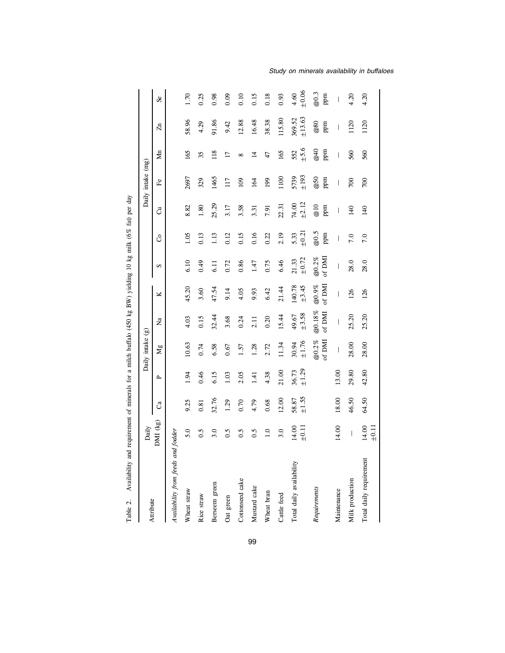| Availability<br>Table 2.           | and requirement of minerals for a milch buffalo (450 kg BW) yielding 10 kg milk (6% fat) per day |                |                |                     |                          |                 |                     |                    |                     |                               |                 |                  |                  |
|------------------------------------|--------------------------------------------------------------------------------------------------|----------------|----------------|---------------------|--------------------------|-----------------|---------------------|--------------------|---------------------|-------------------------------|-----------------|------------------|------------------|
| Attribute                          | Daily                                                                                            |                |                | Daily intake (g)    |                          |                 |                     |                    |                     | Daily intake (mg)             |                 |                  |                  |
|                                    | DMI (kg)                                                                                         | ී              | $\sim$         | Mg                  | ž                        | ×               | S                   | රි                 | ්                   | ድ                             | ₫               | $\mathbb{Z}^n$   | ಹಿ               |
| Availability from feeds and fodder |                                                                                                  |                |                |                     |                          |                 |                     |                    |                     |                               |                 |                  |                  |
| Wheat straw                        | 5.0                                                                                              | 9.25           | 1.94           | 10.63               | 4.03                     | 45.20           | 6.10                | 1.05               | 8.82                | 2697                          | 165             | 58.96            | 1.70             |
| Rice straw                         | 0.5                                                                                              | 0.81           | 0.46           | 0.74                | 0.15                     | 3.60            | 64.0                | 0.13               | 1.80                | 329                           | 35              | 4.29             | 0.25             |
| Berseem green                      | 3.0                                                                                              | 32.76          | 6.15           | 6.58                | 32.44                    | 47.54           | 6.11                | 1.13               | 25.29               | 1465                          | 118             | 91.86            | 0.98             |
| Oat green                          | 0.5                                                                                              | 1.29           | 1.03           | 0.67                | 3.68                     | 9.14            | 0.72                | 0.12               | 3.17                | 117                           | $\overline{17}$ | 9.42             | 0.09             |
| Cottonseed cake                    | 0.5                                                                                              | 0.70           | 2.05           | 1.57                | 0.24                     | 4.05            | 0.86                | 0.15               | 3.58                | $\overline{109}$              | $\infty$        | 12.88            | 0.10             |
| Mustard cake                       | 0.5                                                                                              | 4.79           | 1.41           | 1.28                | 2.11                     | 9.93            | 1.47                | 0.16               | 3.31                | 164                           | $\vec{v}$       | 16.48            | 0.15             |
| Wheat bran                         | 1.0                                                                                              | 0.68           | 4.38           | 2.72                | 0.20                     | 6.42            | 0.75                | 0.22               | 7.91                | 199                           | 47              | 38.38            | 0.18             |
| Cattle feed                        | 3.0                                                                                              | 12.00          | 21.00          | 11.34               | 15.44                    | 21.44           | 6.46                | 2.19               | 22.31               | 1100                          | 165             | 115.80           | 0.93             |
| Total daily availability           | 14.00<br>$\pm 0.11$                                                                              | ±1.55<br>58.87 | ±1.29<br>36.73 | $\pm 1.76$<br>30.94 | ±3.58<br>49.67           | 140.78<br>±3.45 | $\pm 0.72$<br>21.33 | $\pm 0.21$<br>5.33 | $\pm 2.12$<br>74.00 | ±193<br>5739                  | ±5.6<br>552     | ±13.63<br>369.52 | $6.06 +$<br>4.60 |
| Requirements                       |                                                                                                  |                |                | $@0.2\%$<br>of DMI  | @0.18%<br>of $DMI$       | of DMI<br>@0.9% | $@0.2\%$<br>of DMI  | @0.5<br>ppm        | $@10$<br>ppm        | $\overline{\omega}$ 50<br>ppm | @40<br>ppm      | $@80$<br>ppm     | @0.3<br>ppm      |
| Maintenance                        | 14.00                                                                                            | 18.00          | 13.00          | I                   | $\overline{\phantom{a}}$ | I               | I                   | I                  | I                   | I                             | I               | I                | I                |
| Milk production                    | $\mid$                                                                                           | 46.50          | 29.80          | 28.00               | 25.20                    | 126             | 28.0                | 7.0                | 140                 | $\approx$                     | 560             | 1120             | 4.20             |
| Total daily requirement            | 14.00<br>$\pm 0.11$                                                                              | 64.50          | 42.80          | 28.00               | 25.20                    | 126             | 28.0                | 7.0                | 140                 | $\infty$                      | 560             | 1120             | 4.20             |

Study on minerals availability in buffaloes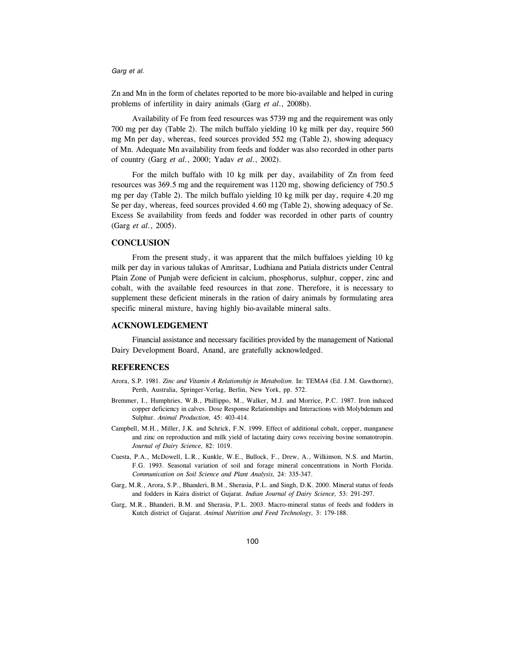Zn and Mn in the form of chelates reported to be more bio-available and helped in curing problems of infertility in dairy animals (Garg et al., 2008b).

Availability of Fe from feed resources was 5739 mg and the requirement was only 700 mg per day (Table 2). The milch buffalo yielding 10 kg milk per day, require 560 mg Mn per day, whereas, feed sources provided 552 mg (Table 2), showing adequacy of Mn. Adequate Mn availability from feeds and fodder was also recorded in other parts of country (Garg et al., 2000; Yadav et al., 2002).

For the milch buffalo with 10 kg milk per day, availability of Zn from feed resources was 369.5 mg and the requirement was 1120 mg, showing deficiency of 750.5 mg per day (Table 2). The milch buffalo yielding 10 kg milk per day, require 4.20 mg Se per day, whereas, feed sources provided 4.60 mg (Table 2), showing adequacy of Se. Excess Se availability from feeds and fodder was recorded in other parts of country (Garg et al., 2005).

# **CONCLUSION**

From the present study, it was apparent that the milch buffaloes yielding 10 kg milk per day in various talukas of Amritsar, Ludhiana and Patiala districts under Central Plain Zone of Punjab were deficient in calcium, phosphorus, sulphur, copper, zinc and cobalt, with the available feed resources in that zone. Therefore, it is necessary to supplement these deficient minerals in the ration of dairy animals by formulating area specific mineral mixture, having highly bio-available mineral salts.

# ACKNOWLEDGEMENT

Financial assistance and necessary facilities provided by the management of National Dairy Development Board, Anand, are gratefully acknowledged.

## REFERENCES

- Arora, S.P. 1981. Zinc and Vitamin A Relationship in Metabolism. In: TEMA4 (Ed. J.M. Gawthorne), Perth, Australia, Springer-Verlag, Berlin, New York, pp. 572.
- Bremmer, I., Humphries, W.B., Phillippo, M., Walker, M.J. and Morrice, P.C. 1987. Iron induced copper deficiency in calves. Dose Response Relationships and Interactions with Molybdenum and Sulphur. Animal Production, 45: 403-414.
- Campbell, M.H., Miller, J.K. and Schrick, F.N. 1999. Effect of additional cobalt, copper, manganese and zinc on reproduction and milk yield of lactating dairy cows receiving bovine somatotropin. Journal of Dairy Science, 82: 1019.
- Cuesta, P.A., McDowell, L.R., Kunkle, W.E., Bullock, F., Drew, A., Wilkinson, N.S. and Martin, F.G. 1993. Seasonal variation of soil and forage mineral concentrations in North Florida. Communication on Soil Science and Plant Analysis, 24: 335-347.
- Garg, M.R., Arora, S.P., Bhanderi, B.M., Sherasia, P.L. and Singh, D.K. 2000. Mineral status of feeds and fodders in Kaira district of Gujarat. Indian Journal of Dairy Science, 53: 291-297.
- Garg, M.R., Bhanderi, B.M. and Sherasia, P.L. 2003. Macro-mineral status of feeds and fodders in Kutch district of Gujarat. Animal Nutrition and Feed Technology, 3: 179-188.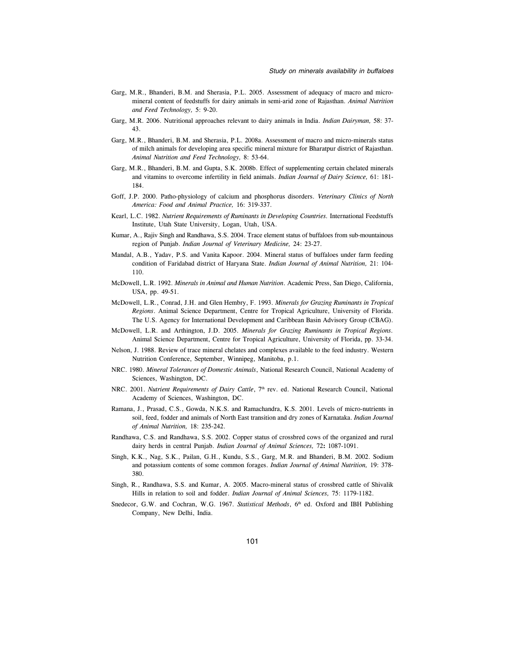- Garg, M.R., Bhanderi, B.M. and Sherasia, P.L. 2005. Assessment of adequacy of macro and micromineral content of feedstuffs for dairy animals in semi-arid zone of Rajasthan. Animal Nutrition and Feed Technology, 5: 9-20.
- Garg, M.R. 2006. Nutritional approaches relevant to dairy animals in India. Indian Dairyman, 58: 37- 43.
- Garg, M.R., Bhanderi, B.M. and Sherasia, P.L. 2008a. Assessment of macro and micro-minerals status of milch animals for developing area specific mineral mixture for Bharatpur district of Rajasthan. Animal Nutrition and Feed Technology, 8: 53-64.
- Garg, M.R., Bhanderi, B.M. and Gupta, S.K. 2008b. Effect of supplementing certain chelated minerals and vitamins to overcome infertility in field animals. Indian Journal of Dairy Science, 61: 181-184.
- Goff, J.P. 2000. Patho-physiology of calcium and phosphorus disorders. Veterinary Clinics of North America: Food and Animal Practice, 16: 319-337.
- Kearl, L.C. 1982. Nutrient Requirements of Ruminants in Developing Countries. International Feedstuffs Institute, Utah State University, Logan, Utah, USA.
- Kumar, A., Rajiv Singh and Randhawa, S.S. 2004. Trace element status of buffaloes from sub-mountainous region of Punjab. Indian Journal of Veterinary Medicine, 24: 23-27.
- Mandal, A.B., Yadav, P.S. and Vanita Kapoor. 2004. Mineral status of buffaloes under farm feeding condition of Faridabad district of Haryana State. Indian Journal of Animal Nutrition, 21: 104- 110.
- McDowell, L.R. 1992. Minerals in Animal and Human Nutrition. Academic Press, San Diego, California, USA, pp. 49-51.
- McDowell, L.R., Conrad, J.H. and Glen Hembry, F. 1993. Minerals for Grazing Ruminants in Tropical Regions. Animal Science Department, Centre for Tropical Agriculture, University of Florida. The U.S. Agency for International Development and Caribbean Basin Advisory Group (CBAG).
- McDowell, L.R. and Arthington, J.D. 2005. Minerals for Grazing Ruminants in Tropical Regions. Animal Science Department, Centre for Tropical Agriculture, University of Florida, pp. 33-34.
- Nelson, J. 1988. Review of trace mineral chelates and complexes available to the feed industry. Western Nutrition Conference, September, Winnipeg, Manitoba, p.1.
- NRC. 1980. Mineral Tolerances of Domestic Animals, National Research Council, National Academy of Sciences, Washington, DC.
- NRC. 2001. Nutrient Requirements of Dairy Cattle, 7<sup>th</sup> rev. ed. National Research Council, National Academy of Sciences, Washington, DC.
- Ramana, J., Prasad, C.S., Gowda, N.K.S. and Ramachandra, K.S. 2001. Levels of micro-nutrients in soil, feed, fodder and animals of North East transition and dry zones of Karnataka. Indian Journal of Animal Nutrition, 18: 235-242.
- Randhawa, C.S. and Randhawa, S.S. 2002. Copper status of crossbred cows of the organized and rural dairy herds in central Punjab. Indian Journal of Animal Sciences, 72: 1087-1091.
- Singh, K.K., Nag, S.K., Pailan, G.H., Kundu, S.S., Garg, M.R. and Bhanderi, B.M. 2002. Sodium and potassium contents of some common forages. Indian Journal of Animal Nutrition, 19: 378- 380.
- Singh, R., Randhawa, S.S. and Kumar, A. 2005. Macro-mineral status of crossbred cattle of Shivalik Hills in relation to soil and fodder. Indian Journal of Animal Sciences, 75: 1179-1182.
- Snedecor, G.W. and Cochran, W.G. 1967. Statistical Methods, 6<sup>th</sup> ed. Oxford and IBH Publishing Company, New Delhi, India.